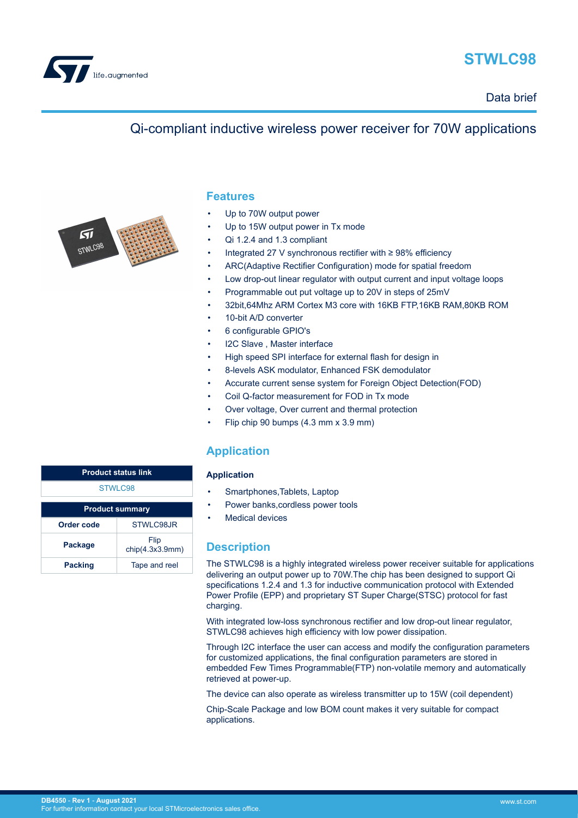

# **STWLC98**

Data brief

## Qi-compliant inductive wireless power receiver for 70W applications



### **Features**

- Up to 70W output power
- Up to 15W output power in Tx mode
- Qi 1.2.4 and 1.3 compliant
- Integrated 27 V synchronous rectifier with ≥ 98% efficiency
- ARC(Adaptive Rectifier Configuration) mode for spatial freedom
- Low drop-out linear regulator with output current and input voltage loops
- Programmable out put voltage up to 20V in steps of 25mV
- 32bit,64Mhz ARM Cortex M3 core with 16KB FTP,16KB RAM,80KB ROM
- 10-bit A/D converter
- 6 configurable GPIO's
- I2C Slave, Master interface
- High speed SPI interface for external flash for design in
- 8-levels ASK modulator, Enhanced FSK demodulator
- Accurate current sense system for Foreign Object Detection(FOD)
- Coil Q-factor measurement for FOD in Tx mode
- Over voltage, Over current and thermal protection
- Flip chip 90 bumps (4.3 mm x 3.9 mm)

### **Application**

#### **Application**

- Smartphones, Tablets, Laptop
- Power banks, cordless power tools
- Medical devices

#### **Description**

The STWLC98 is a highly integrated wireless power receiver suitable for applications delivering an output power up to 70W.The chip has been designed to support Qi specifications 1.2.4 and 1.3 for inductive communication protocol with Extended Power Profile (EPP) and proprietary ST Super Charge(STSC) protocol for fast charging.

With integrated low-loss synchronous rectifier and low drop-out linear regulator, STWLC98 achieves high efficiency with low power dissipation.

Through I2C interface the user can access and modify the configuration parameters for customized applications, the final configuration parameters are stored in embedded Few Times Programmable(FTP) non-volatile memory and automatically retrieved at power-up.

The device can also operate as wireless transmitter up to 15W (coil dependent)

Chip-Scale Package and low BOM count makes it very suitable for compact applications.

| <b>Product status link</b> |                         |  |
|----------------------------|-------------------------|--|
| STWLC98                    |                         |  |
| <b>Product summary</b>     |                         |  |
| Order code                 | STWLC98JR               |  |
|                            |                         |  |
| Package                    | Flip<br>chip(4.3x3.9mm) |  |
| <b>Packing</b>             | Tape and reel           |  |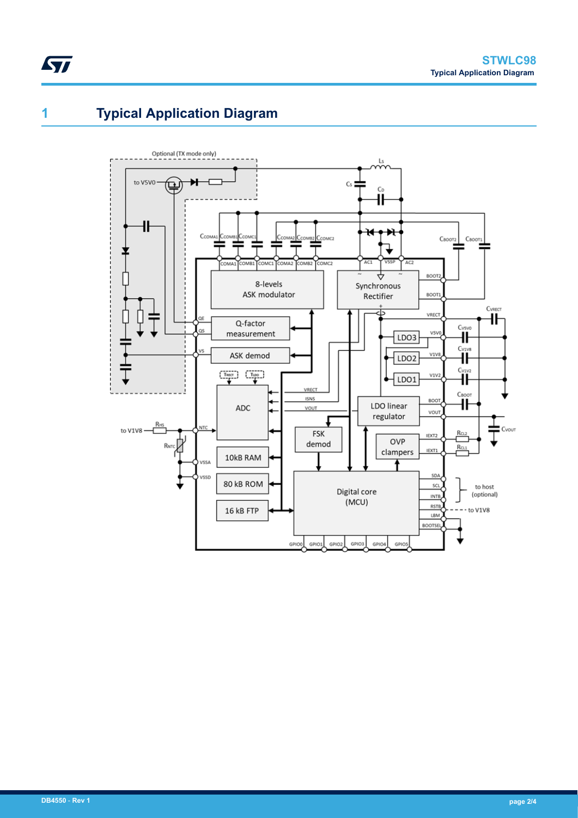# **1 Typical Application Diagram**

 $\sqrt{2}$ 

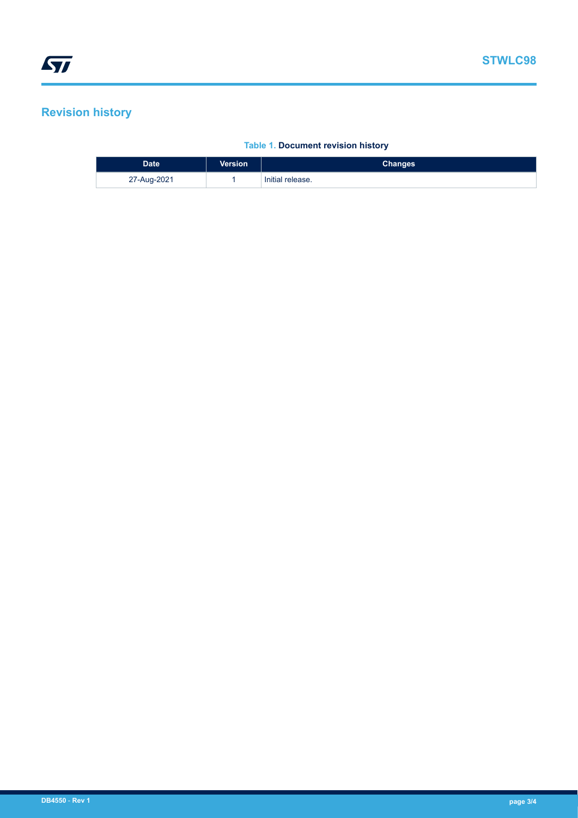## **Revision history**

### **Table 1. Document revision history**

| <b>Date</b> | <b>Version</b> | Changes          |
|-------------|----------------|------------------|
| 27-Aug-2021 |                | Initial release. |